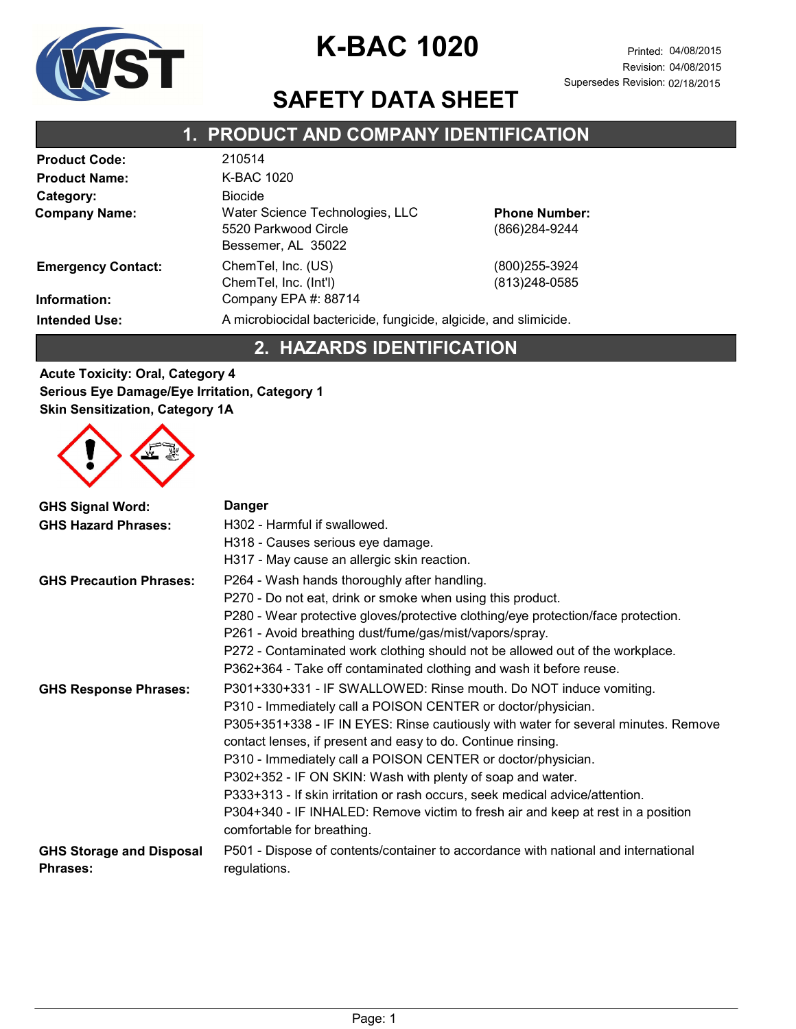

Revision: 04/08/2015 Supersedes Revision: 02/18/2015

### SAFETY DATA SHEET

### 1. PRODUCT AND COMPANY IDENTIFICATION

| <b>Product Code:</b>      | 210514                                                                        |                                        |
|---------------------------|-------------------------------------------------------------------------------|----------------------------------------|
| <b>Product Name:</b>      | K-BAC 1020                                                                    |                                        |
| Category:                 | <b>Biocide</b>                                                                |                                        |
| <b>Company Name:</b>      | Water Science Technologies, LLC<br>5520 Parkwood Circle<br>Bessemer, AL 35022 | <b>Phone Number:</b><br>(866) 284-9244 |
| <b>Emergency Contact:</b> | ChemTel, Inc. (US)<br>ChemTel, Inc. (Int'l)                                   | (800) 255-3924<br>$(813)248-0585$      |
| Information:              | Company EPA #: 88714                                                          |                                        |
| <b>Intended Use:</b>      | A microbiocidal bactericide, fungicide, algicide, and slimicide.              |                                        |

### 2. HAZARDS IDENTIFICATION

Acute Toxicity: Oral, Category 4 Serious Eye Damage/Eye Irritation, Category 1 Skin Sensitization, Category 1A



| <b>GHS Signal Word:</b><br><b>GHS Hazard Phrases:</b> | <b>Danger</b><br>H302 - Harmful if swallowed.<br>H318 - Causes serious eye damage.<br>H317 - May cause an allergic skin reaction.                                                                                                                                                                                                                                                                                                                                                                                                                                                                                       |
|-------------------------------------------------------|-------------------------------------------------------------------------------------------------------------------------------------------------------------------------------------------------------------------------------------------------------------------------------------------------------------------------------------------------------------------------------------------------------------------------------------------------------------------------------------------------------------------------------------------------------------------------------------------------------------------------|
| <b>GHS Precaution Phrases:</b>                        | P264 - Wash hands thoroughly after handling.<br>P270 - Do not eat, drink or smoke when using this product.<br>P280 - Wear protective gloves/protective clothing/eye protection/face protection.<br>P261 - Avoid breathing dust/fume/gas/mist/vapors/spray.<br>P272 - Contaminated work clothing should not be allowed out of the workplace.<br>P362+364 - Take off contaminated clothing and wash it before reuse.                                                                                                                                                                                                      |
| <b>GHS Response Phrases:</b>                          | P301+330+331 - IF SWALLOWED: Rinse mouth. Do NOT induce vomiting.<br>P310 - Immediately call a POISON CENTER or doctor/physician.<br>P305+351+338 - IF IN EYES: Rinse cautiously with water for several minutes. Remove<br>contact lenses, if present and easy to do. Continue rinsing.<br>P310 - Immediately call a POISON CENTER or doctor/physician.<br>P302+352 - IF ON SKIN: Wash with plenty of soap and water.<br>P333+313 - If skin irritation or rash occurs, seek medical advice/attention.<br>P304+340 - IF INHALED: Remove victim to fresh air and keep at rest in a position<br>comfortable for breathing. |
| <b>GHS Storage and Disposal</b><br><b>Phrases:</b>    | P501 - Dispose of contents/container to accordance with national and international<br>regulations.                                                                                                                                                                                                                                                                                                                                                                                                                                                                                                                      |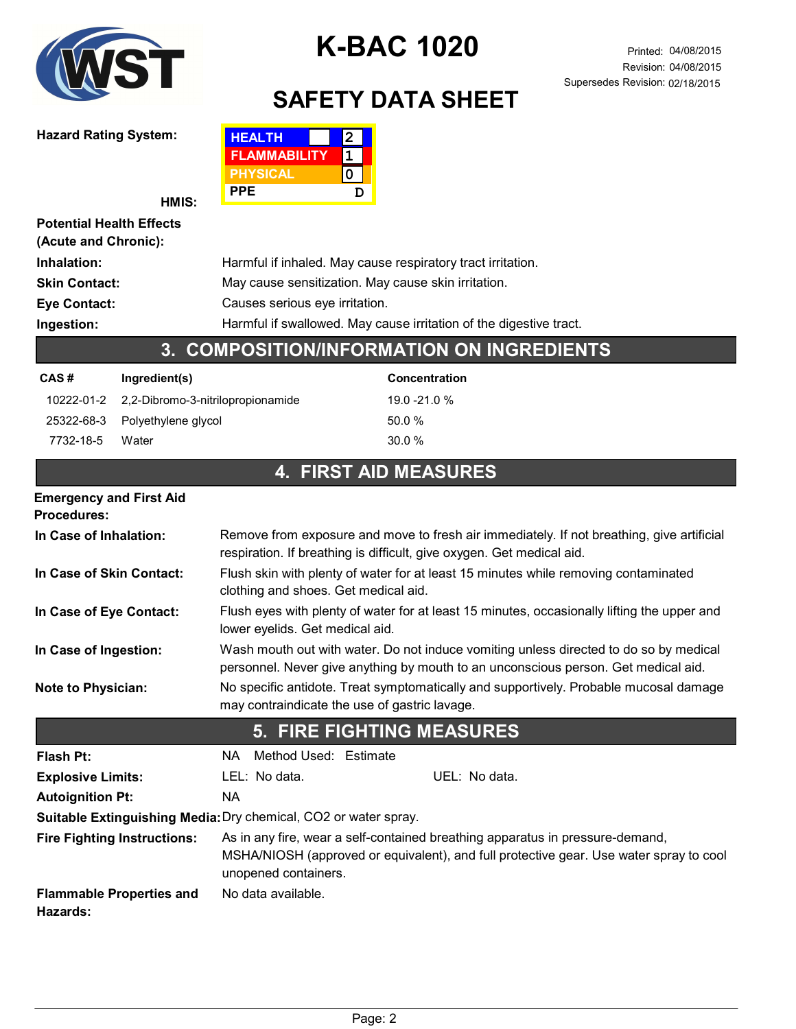

Hazard Rating System:

# K-BAC 1020 Printed: 04/08/2015

# SAFETY DATA SHEET

| <b>HEALTH</b>       | $\mathbf{2}$ |  |
|---------------------|--------------|--|
| <b>FLAMMABILITY</b> |              |  |
| <b>PHYSICAL</b>     |              |  |
| PPE                 | D            |  |

|                                                         | HMIS:                             | FFE<br>υ                                                                                                                                                                                        |  |  |  |
|---------------------------------------------------------|-----------------------------------|-------------------------------------------------------------------------------------------------------------------------------------------------------------------------------------------------|--|--|--|
| <b>Potential Health Effects</b><br>(Acute and Chronic): |                                   |                                                                                                                                                                                                 |  |  |  |
| Inhalation:                                             |                                   | Harmful if inhaled. May cause respiratory tract irritation.                                                                                                                                     |  |  |  |
| <b>Skin Contact:</b>                                    |                                   | May cause sensitization. May cause skin irritation.                                                                                                                                             |  |  |  |
| <b>Eye Contact:</b>                                     |                                   | Causes serious eye irritation.                                                                                                                                                                  |  |  |  |
| Ingestion:                                              |                                   | Harmful if swallowed. May cause irritation of the digestive tract.                                                                                                                              |  |  |  |
|                                                         | 3.                                | <b>COMPOSITION/INFORMATION ON INGREDIENTS</b>                                                                                                                                                   |  |  |  |
| CAS#                                                    | Ingredient(s)                     | <b>Concentration</b>                                                                                                                                                                            |  |  |  |
| 10222-01-2                                              | 2,2-Dibromo-3-nitrilopropionamide | 19.0 -21.0 %                                                                                                                                                                                    |  |  |  |
| 25322-68-3                                              | Polyethylene glycol               | 50.0%                                                                                                                                                                                           |  |  |  |
| 7732-18-5                                               | Water                             | 30.0%                                                                                                                                                                                           |  |  |  |
|                                                         |                                   | <b>4. FIRST AID MEASURES</b>                                                                                                                                                                    |  |  |  |
| <b>Emergency and First Aid</b><br><b>Procedures:</b>    |                                   |                                                                                                                                                                                                 |  |  |  |
| In Case of Inhalation:                                  |                                   | Remove from exposure and move to fresh air immediately. If not breathing, give artificial<br>respiration. If breathing is difficult, give oxygen. Get medical aid.                              |  |  |  |
| In Case of Skin Contact:                                |                                   | Flush skin with plenty of water for at least 15 minutes while removing contaminated<br>clothing and shoes. Get medical aid.                                                                     |  |  |  |
| In Case of Eye Contact:                                 |                                   | Flush eyes with plenty of water for at least 15 minutes, occasionally lifting the upper and<br>lower eyelids. Get medical aid.                                                                  |  |  |  |
| In Case of Ingestion:                                   |                                   | Wash mouth out with water. Do not induce vomiting unless directed to do so by medical<br>personnel. Never give anything by mouth to an unconscious person. Get medical aid.                     |  |  |  |
| <b>Note to Physician:</b>                               |                                   | No specific antidote. Treat symptomatically and supportively. Probable mucosal damage<br>may contraindicate the use of gastric lavage.                                                          |  |  |  |
|                                                         |                                   | <b>5. FIRE FIGHTING MEASURES</b>                                                                                                                                                                |  |  |  |
| <b>Flash Pt:</b>                                        |                                   | Method Used: Estimate<br>NA.                                                                                                                                                                    |  |  |  |
| <b>Explosive Limits:</b>                                |                                   | LEL: No data.<br>UEL: No data.                                                                                                                                                                  |  |  |  |
| <b>Autoignition Pt:</b>                                 |                                   | <b>NA</b>                                                                                                                                                                                       |  |  |  |
|                                                         |                                   | Suitable Extinguishing Media: Dry chemical, CO2 or water spray.                                                                                                                                 |  |  |  |
| <b>Fire Fighting Instructions:</b>                      |                                   | As in any fire, wear a self-contained breathing apparatus in pressure-demand,<br>MSHA/NIOSH (approved or equivalent), and full protective gear. Use water spray to cool<br>unopened containers. |  |  |  |
| Hazards:                                                | <b>Flammable Properties and</b>   | No data available.                                                                                                                                                                              |  |  |  |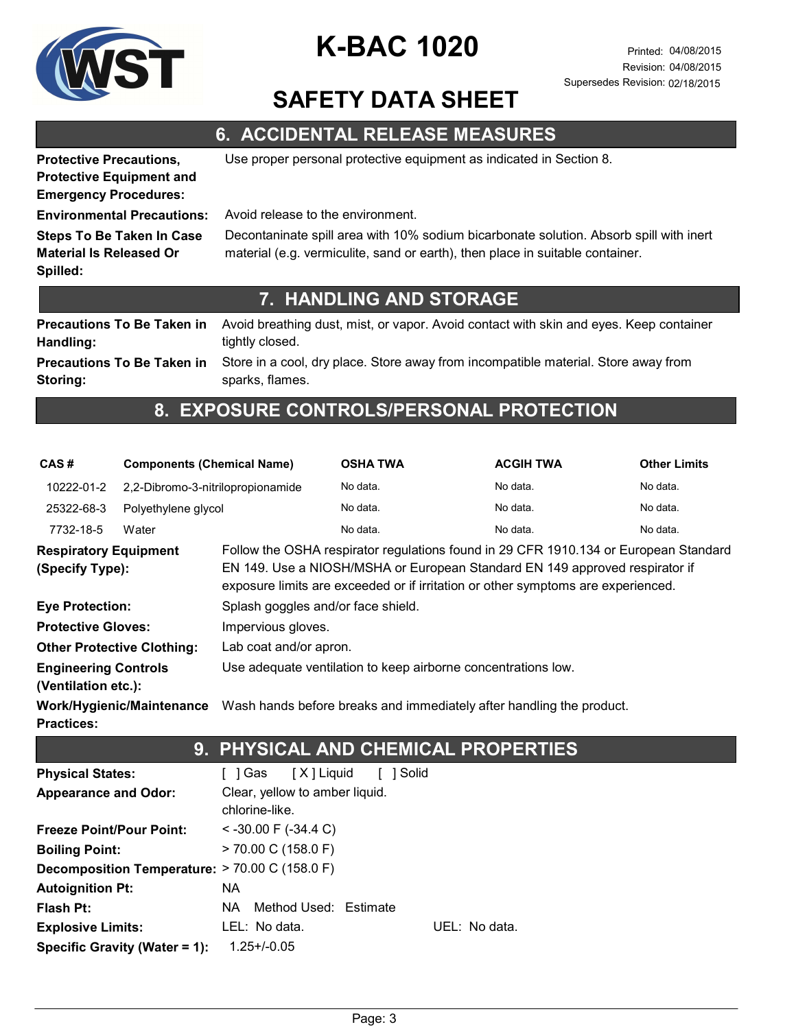

### SAFETY DATA SHEET

### 6. ACCIDENTAL RELEASE MEASURES

Protective Equipment and

Protective Precautions, Use proper personal protective equipment as indicated in Section 8.

Emergency Procedures:

Steps To Be Taken In Case Material Is Released Or

Spilled:

Environmental Precautions: Avoid release to the environment.

Decontaninate spill area with 10% sodium bicarbonate solution. Absorb spill with inert material (e.g. vermiculite, sand or earth), then place in suitable container.

#### 7. HANDLING AND STORAGE

Avoid breathing dust, mist, or vapor. Avoid contact with skin and eyes. Keep container tightly closed. Precautions To Be Taken in Handling: Store in a cool, dry place. Store away from incompatible material. Store away from Precautions To Be Taken in

Storing:

sparks, flames.

### 8. EXPOSURE CONTROLS/PERSONAL PROTECTION

| CAS#                                               | <b>Components (Chemical Name)</b> |                                                                                                                                                                                                                                                         | <b>OSHA TWA</b> |               | <b>ACGIH TWA</b>                                                     | <b>Other Limits</b> |  |
|----------------------------------------------------|-----------------------------------|---------------------------------------------------------------------------------------------------------------------------------------------------------------------------------------------------------------------------------------------------------|-----------------|---------------|----------------------------------------------------------------------|---------------------|--|
| 10222-01-2                                         | 2,2-Dibromo-3-nitrilopropionamide |                                                                                                                                                                                                                                                         | No data.        |               | No data.                                                             | No data.            |  |
| 25322-68-3                                         | Polyethylene glycol               |                                                                                                                                                                                                                                                         | No data.        |               | No data.                                                             | No data.            |  |
| 7732-18-5                                          | Water                             |                                                                                                                                                                                                                                                         | No data.        |               | No data.                                                             | No data.            |  |
| <b>Respiratory Equipment</b><br>(Specify Type):    |                                   | Follow the OSHA respirator regulations found in 29 CFR 1910.134 or European Standard<br>EN 149. Use a NIOSH/MSHA or European Standard EN 149 approved respirator if<br>exposure limits are exceeded or if irritation or other symptoms are experienced. |                 |               |                                                                      |                     |  |
| <b>Eye Protection:</b>                             |                                   | Splash goggles and/or face shield.                                                                                                                                                                                                                      |                 |               |                                                                      |                     |  |
| <b>Protective Gloves:</b>                          |                                   | Impervious gloves.                                                                                                                                                                                                                                      |                 |               |                                                                      |                     |  |
|                                                    | <b>Other Protective Clothing:</b> | Lab coat and/or apron.                                                                                                                                                                                                                                  |                 |               |                                                                      |                     |  |
| <b>Engineering Controls</b><br>(Ventilation etc.): |                                   | Use adequate ventilation to keep airborne concentrations low.                                                                                                                                                                                           |                 |               |                                                                      |                     |  |
| <b>Practices:</b>                                  | <b>Work/Hygienic/Maintenance</b>  |                                                                                                                                                                                                                                                         |                 |               | Wash hands before breaks and immediately after handling the product. |                     |  |
|                                                    |                                   | 9. PHYSICAL AND CHEMICAL PROPERTIES                                                                                                                                                                                                                     |                 |               |                                                                      |                     |  |
| <b>Physical States:</b>                            |                                   | [ ] Gas<br>[X] Liquid                                                                                                                                                                                                                                   | [ ] Solid       |               |                                                                      |                     |  |
| <b>Appearance and Odor:</b>                        |                                   | Clear, yellow to amber liquid.<br>chlorine-like.                                                                                                                                                                                                        |                 |               |                                                                      |                     |  |
| <b>Freeze Point/Pour Point:</b>                    |                                   | $<$ -30.00 F (-34.4 C)                                                                                                                                                                                                                                  |                 |               |                                                                      |                     |  |
| <b>Boiling Point:</b>                              |                                   | $> 70.00$ C (158.0 F)                                                                                                                                                                                                                                   |                 |               |                                                                      |                     |  |
| Decomposition Temperature: > 70.00 C (158.0 F)     |                                   |                                                                                                                                                                                                                                                         |                 |               |                                                                      |                     |  |
| <b>Autoignition Pt:</b>                            |                                   | <b>NA</b>                                                                                                                                                                                                                                               |                 |               |                                                                      |                     |  |
| <b>Flash Pt:</b>                                   |                                   | Method Used: Estimate<br>NA.                                                                                                                                                                                                                            |                 |               |                                                                      |                     |  |
| <b>Explosive Limits:</b>                           |                                   | LEL: No data.                                                                                                                                                                                                                                           |                 | UEL: No data. |                                                                      |                     |  |
|                                                    | Specific Gravity (Water = 1):     | $1.25 + (-0.05)$                                                                                                                                                                                                                                        |                 |               |                                                                      |                     |  |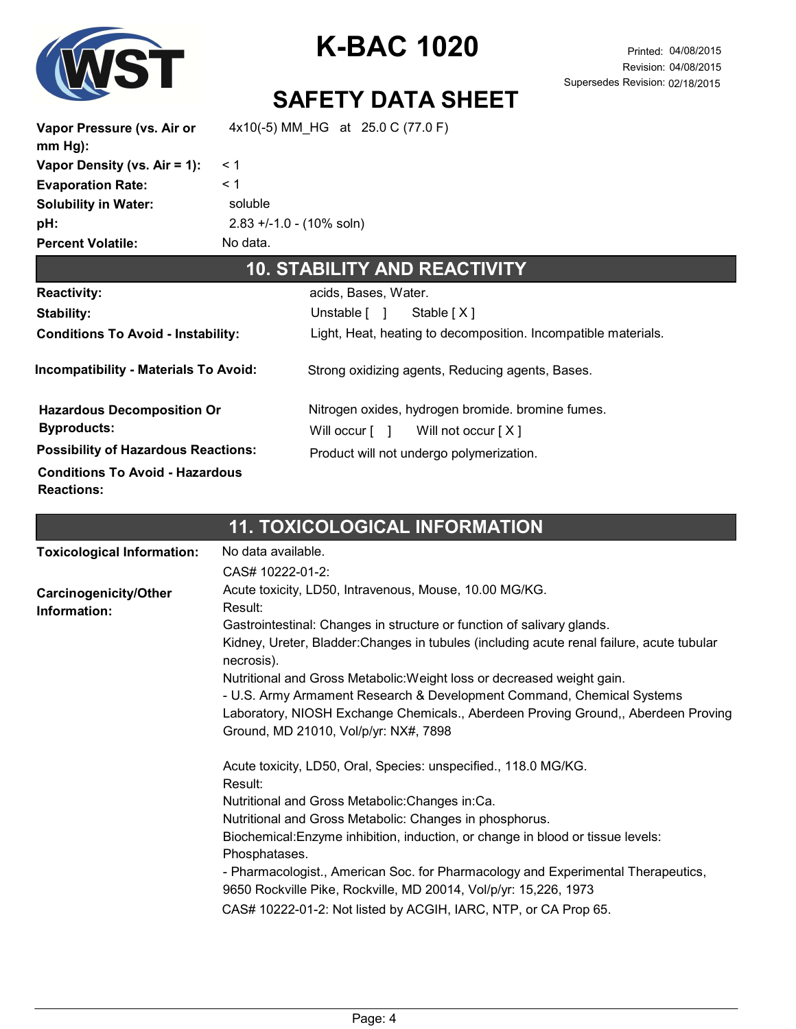

### SAFETY DATA SHEET

Vapor Pressure (vs. Air or mm Hg): 4x10(-5) MM\_HG at 25.0 C (77.0 F) Vapor Density (vs. Air = 1):  $<$  1 Evaporation Rate:  $\leq 1$ Solubility in Water: soluble Percent Volatile: No data. pH: 2.83 +/-1.0 - (10% soln) 10. STABILITY AND REACTIVITY

|                                                             | IV SI/NSISI SANS INSINSI SI                                            |
|-------------------------------------------------------------|------------------------------------------------------------------------|
| <b>Reactivity:</b>                                          | acids, Bases, Water.                                                   |
| Stability:                                                  | Unstable [ ]<br>Stable [X]                                             |
| <b>Conditions To Avoid - Instability:</b>                   | Light, Heat, heating to decomposition. Incompatible materials.         |
| <b>Incompatibility - Materials To Avoid:</b>                | Strong oxidizing agents, Reducing agents, Bases.                       |
| <b>Hazardous Decomposition Or</b>                           | Nitrogen oxides, hydrogen bromide. bromine fumes.                      |
| <b>Byproducts:</b>                                          | Will occur $\begin{bmatrix} 1 \\ 1 \end{bmatrix}$ Will not occur $[X]$ |
| <b>Possibility of Hazardous Reactions:</b>                  | Product will not undergo polymerization.                               |
| <b>Conditions To Avoid - Hazardous</b><br><b>Reactions:</b> |                                                                        |

### 11. TOXICOLOGICAL INFORMATION

| <b>Toxicological Information:</b>     | No data available.                                                                                                                                   |
|---------------------------------------|------------------------------------------------------------------------------------------------------------------------------------------------------|
|                                       | CAS# 10222-01-2:                                                                                                                                     |
| Carcinogenicity/Other<br>Information: | Acute toxicity, LD50, Intravenous, Mouse, 10.00 MG/KG.<br>Result:                                                                                    |
|                                       | Gastrointestinal: Changes in structure or function of salivary glands.                                                                               |
|                                       | Kidney, Ureter, Bladder: Changes in tubules (including acute renal failure, acute tubular<br>necrosis).                                              |
|                                       | Nutritional and Gross Metabolic: Weight loss or decreased weight gain.                                                                               |
|                                       | - U.S. Army Armament Research & Development Command, Chemical Systems                                                                                |
|                                       | Laboratory, NIOSH Exchange Chemicals., Aberdeen Proving Ground,, Aberdeen Proving                                                                    |
|                                       | Ground, MD 21010, Vol/p/yr: NX#, 7898                                                                                                                |
|                                       | Acute toxicity, LD50, Oral, Species: unspecified., 118.0 MG/KG.<br>Result:                                                                           |
|                                       | Nutritional and Gross Metabolic: Changes in: Ca.                                                                                                     |
|                                       | Nutritional and Gross Metabolic: Changes in phosphorus.                                                                                              |
|                                       | Biochemical: Enzyme inhibition, induction, or change in blood or tissue levels:<br>Phosphatases.                                                     |
|                                       | - Pharmacologist., American Soc. for Pharmacology and Experimental Therapeutics,<br>9650 Rockville Pike, Rockville, MD 20014, Vol/p/yr: 15,226, 1973 |
|                                       | CAS# 10222-01-2: Not listed by ACGIH, IARC, NTP, or CA Prop 65.                                                                                      |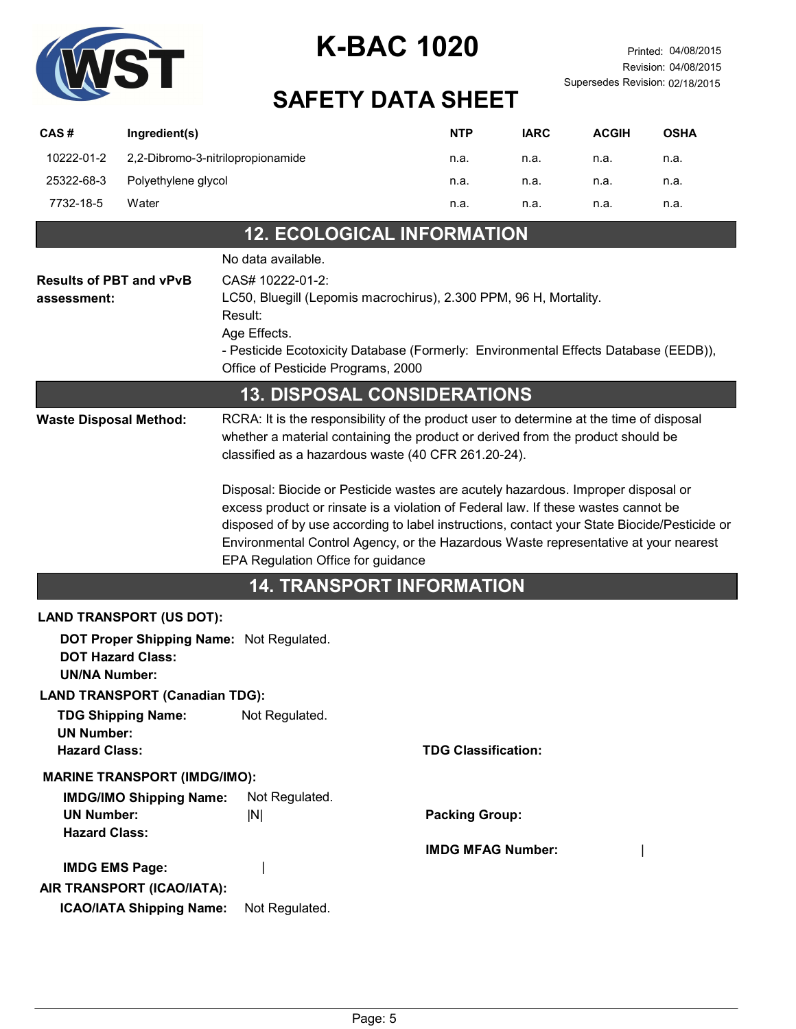

# SAFETY DATA SHEET

| CAS# |            | Ingredient(s)                     | <b>NTP</b> | <b>IARC</b> | <b>ACGIH</b> | <b>OSHA</b> |
|------|------------|-----------------------------------|------------|-------------|--------------|-------------|
|      | 10222-01-2 | 2,2-Dibromo-3-nitrilopropionamide | n.a.       | n.a.        | n.a.         | n.a.        |
|      | 25322-68-3 | Polyethylene glycol               | n.a.       | n.a.        | n.a.         | n.a.        |
|      | 7732-18-5  | Water                             | n.a.       | n.a.        | n.a.         | n.a.        |
|      |            |                                   |            |             |              |             |

### 12. ECOLOGICAL INFORMATION

|                                                                                              | No data available.                                                                                                                                                                                                                                                                                                                                                                                  |                                                                                                                                                                            |  |  |  |
|----------------------------------------------------------------------------------------------|-----------------------------------------------------------------------------------------------------------------------------------------------------------------------------------------------------------------------------------------------------------------------------------------------------------------------------------------------------------------------------------------------------|----------------------------------------------------------------------------------------------------------------------------------------------------------------------------|--|--|--|
| <b>Results of PBT and vPvB</b><br>assessment:                                                | CAS# 10222-01-2:<br>Result:<br>Age Effects.<br>Office of Pesticide Programs, 2000                                                                                                                                                                                                                                                                                                                   | LC50, Bluegill (Lepomis macrochirus), 2.300 PPM, 96 H, Mortality.<br>- Pesticide Ecotoxicity Database (Formerly: Environmental Effects Database (EEDB)),                   |  |  |  |
|                                                                                              | <b>13. DISPOSAL CONSIDERATIONS</b>                                                                                                                                                                                                                                                                                                                                                                  |                                                                                                                                                                            |  |  |  |
| <b>Waste Disposal Method:</b>                                                                | classified as a hazardous waste (40 CFR 261.20-24).                                                                                                                                                                                                                                                                                                                                                 | RCRA: It is the responsibility of the product user to determine at the time of disposal<br>whether a material containing the product or derived from the product should be |  |  |  |
|                                                                                              | Disposal: Biocide or Pesticide wastes are acutely hazardous. Improper disposal or<br>excess product or rinsate is a violation of Federal law. If these wastes cannot be<br>disposed of by use according to label instructions, contact your State Biocide/Pesticide or<br>Environmental Control Agency, or the Hazardous Waste representative at your nearest<br>EPA Regulation Office for guidance |                                                                                                                                                                            |  |  |  |
|                                                                                              | <b>14. TRANSPORT INFORMATION</b>                                                                                                                                                                                                                                                                                                                                                                    |                                                                                                                                                                            |  |  |  |
| <b>LAND TRANSPORT (US DOT):</b>                                                              |                                                                                                                                                                                                                                                                                                                                                                                                     |                                                                                                                                                                            |  |  |  |
| DOT Proper Shipping Name: Not Regulated.<br><b>DOT Hazard Class:</b><br><b>UN/NA Number:</b> |                                                                                                                                                                                                                                                                                                                                                                                                     |                                                                                                                                                                            |  |  |  |
| <b>LAND TRANSPORT (Canadian TDG):</b>                                                        |                                                                                                                                                                                                                                                                                                                                                                                                     |                                                                                                                                                                            |  |  |  |
| <b>TDG Shipping Name:</b><br><b>UN Number:</b>                                               | Not Regulated.                                                                                                                                                                                                                                                                                                                                                                                      |                                                                                                                                                                            |  |  |  |
| <b>Hazard Class:</b>                                                                         |                                                                                                                                                                                                                                                                                                                                                                                                     | <b>TDG Classification:</b>                                                                                                                                                 |  |  |  |
| <b>MARINE TRANSPORT (IMDG/IMO):</b>                                                          |                                                                                                                                                                                                                                                                                                                                                                                                     |                                                                                                                                                                            |  |  |  |
| <b>IMDG/IMO Shipping Name:</b><br><b>UN Number:</b><br><b>Hazard Class:</b>                  | Not Regulated.<br> N                                                                                                                                                                                                                                                                                                                                                                                | <b>Packing Group:</b>                                                                                                                                                      |  |  |  |
| <b>IMDG EMS Page:</b>                                                                        |                                                                                                                                                                                                                                                                                                                                                                                                     | <b>IMDG MFAG Number:</b>                                                                                                                                                   |  |  |  |
| AIR TRANSPORT (ICAO/IATA):<br><b>ICAO/IATA Shipping Name:</b><br>Not Regulated.              |                                                                                                                                                                                                                                                                                                                                                                                                     |                                                                                                                                                                            |  |  |  |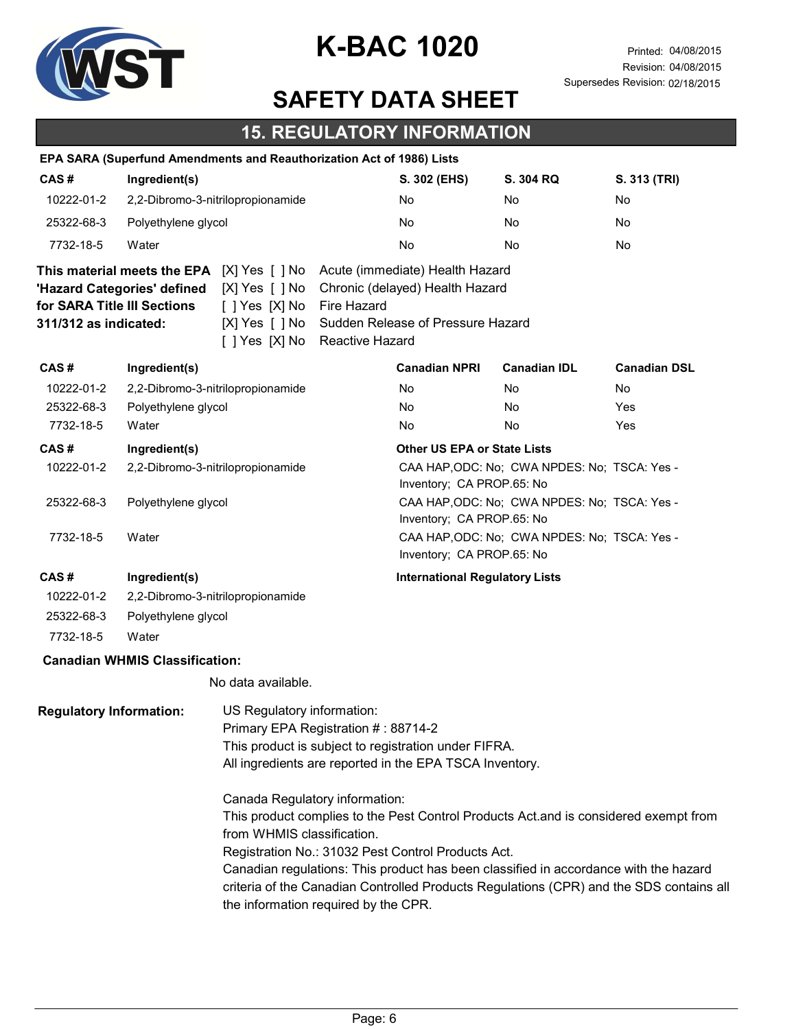

### SAFETY DATA SHEET

#### 15. REGULATORY INFORMATION

|                                                                                                     |                                       | EPA SARA (Superfund Amendments and Reauthorization Act of 1986) Lists                                                    |                                                                                                                 |                                                                                                         |                                              |                     |
|-----------------------------------------------------------------------------------------------------|---------------------------------------|--------------------------------------------------------------------------------------------------------------------------|-----------------------------------------------------------------------------------------------------------------|---------------------------------------------------------------------------------------------------------|----------------------------------------------|---------------------|
| CAS#                                                                                                | Ingredient(s)                         |                                                                                                                          | S. 302 (EHS)                                                                                                    | S. 304 RQ                                                                                               | S. 313 (TRI)                                 |                     |
| 10222-01-2                                                                                          | 2,2-Dibromo-3-nitrilopropionamide     |                                                                                                                          | No                                                                                                              | No                                                                                                      | No                                           |                     |
| 25322-68-3                                                                                          | Polyethylene glycol                   |                                                                                                                          |                                                                                                                 | No                                                                                                      | No                                           | No                  |
| 7732-18-5                                                                                           | Water                                 |                                                                                                                          |                                                                                                                 | No                                                                                                      | No                                           | <b>No</b>           |
| for SARA Title III Sections<br>311/312 as indicated:                                                | 'Hazard Categories' defined           | This material meets the EPA [X] Yes [ ] No<br>$[X]$ Yes $[ \ ]$ No<br>[ ] Yes [X] No<br>[X] Yes [ ] No<br>[ ] Yes [X] No | Fire Hazard<br>Reactive Hazard                                                                                  | Acute (immediate) Health Hazard<br>Chronic (delayed) Health Hazard<br>Sudden Release of Pressure Hazard |                                              |                     |
| CAS#                                                                                                | Ingredient(s)                         |                                                                                                                          |                                                                                                                 | <b>Canadian NPRI</b>                                                                                    | <b>Canadian IDL</b>                          | <b>Canadian DSL</b> |
| 10222-01-2                                                                                          |                                       | 2,2-Dibromo-3-nitrilopropionamide                                                                                        |                                                                                                                 | No                                                                                                      | No                                           | No.                 |
| 25322-68-3                                                                                          | Polyethylene glycol                   |                                                                                                                          |                                                                                                                 | No                                                                                                      | No.                                          | Yes                 |
| 7732-18-5                                                                                           | Water                                 |                                                                                                                          |                                                                                                                 | No                                                                                                      | No                                           | Yes                 |
| CAS#<br>Ingredient(s)                                                                               |                                       |                                                                                                                          | <b>Other US EPA or State Lists</b>                                                                              |                                                                                                         |                                              |                     |
| 10222-01-2                                                                                          | 2,2-Dibromo-3-nitrilopropionamide     |                                                                                                                          |                                                                                                                 | CAA HAP, ODC: No; CWA NPDES: No; TSCA: Yes -<br>Inventory; CA PROP.65: No                               |                                              |                     |
| 25322-68-3                                                                                          | Polyethylene glycol                   |                                                                                                                          |                                                                                                                 | CAA HAP, ODC: No; CWA NPDES: No; TSCA: Yes -<br>Inventory; CA PROP.65: No                               |                                              |                     |
| 7732-18-5<br>Water                                                                                  |                                       |                                                                                                                          |                                                                                                                 | Inventory; CA PROP.65: No                                                                               | CAA HAP, ODC: No; CWA NPDES: No; TSCA: Yes - |                     |
| CAS#                                                                                                | Ingredient(s)                         |                                                                                                                          |                                                                                                                 | <b>International Regulatory Lists</b>                                                                   |                                              |                     |
| 10222-01-2                                                                                          |                                       | 2,2-Dibromo-3-nitrilopropionamide                                                                                        |                                                                                                                 |                                                                                                         |                                              |                     |
| 25322-68-3                                                                                          | Polyethylene glycol                   |                                                                                                                          |                                                                                                                 |                                                                                                         |                                              |                     |
| 7732-18-5                                                                                           | Water                                 |                                                                                                                          |                                                                                                                 |                                                                                                         |                                              |                     |
|                                                                                                     | <b>Canadian WHMIS Classification:</b> |                                                                                                                          |                                                                                                                 |                                                                                                         |                                              |                     |
|                                                                                                     |                                       | No data available.                                                                                                       |                                                                                                                 |                                                                                                         |                                              |                     |
| <b>Regulatory Information:</b><br>US Regulatory information:<br>Primary EPA Registration #: 88714-2 |                                       |                                                                                                                          | This product is subject to registration under FIFRA.<br>All ingredients are reported in the EPA TSCA Inventory. |                                                                                                         |                                              |                     |

Canada Regulatory information:

This product complies to the Pest Control Products Act.and is considered exempt from from WHMIS classification.

Registration No.: 31032 Pest Control Products Act.

Canadian regulations: This product has been classified in accordance with the hazard criteria of the Canadian Controlled Products Regulations (CPR) and the SDS contains all the information required by the CPR.